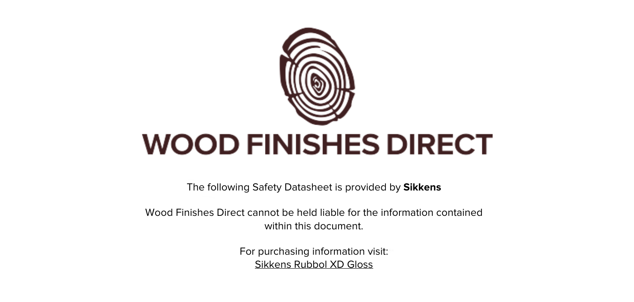

The following Safety Datasheet is provided by **Sikkens**

Wood Finishes Direct cannot be held liable for the information contained within this document

> For purchasing information visit: [Sikkens Rubbol XD Gloss](https://www.wood-finishes-direct.com/product/sikkens-rubbol-xd-gloss)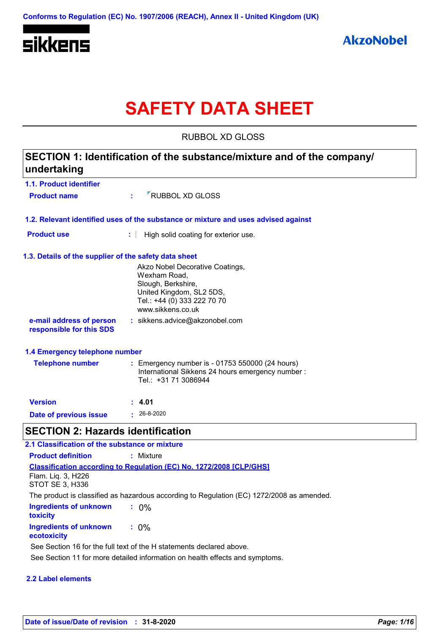

# **SAFETY DATA SHEET**

RUBBOL XD GLOSS

# **1.1. Product identifier 1.3. Details of the supplier of the safety data sheet 1.2. Relevant identified uses of the substance or mixture and uses advised against SECTION 1: Identification of the substance/mixture and of the company/ undertaking Date of previous issue :** 26-8-2020 Akzo Nobel Decorative Coatings, Wexham Road, Slough, Berkshire, United Kingdom, SL2 5DS, Tel.: +44 (0) 333 222 70 70 www.sikkens.co.uk **e-mail address of person responsible for this SDS :** sikkens.advice@akzonobel.com **1.4 Emergency telephone number Version : 4.01 Product name**  $\cdot$  **:**  $\cdot$  RUBBOL XD GLOSS **Product use :** High solid coating for exterior use. **Telephone number** : Emergency number is - 01753 550000 (24 hours) International Sikkens 24 hours emergency number : Tel.: +31 71 3086944 **SECTION 2: Hazards identification :** 0% **Classification according to Regulation (EC) No. 1272/2008 [CLP/GHS] 2.1 Classification of the substance or mixture Product definition :** Mixture Flam. Liq. 3, H226 STOT SE 3, H336 The product is classified as hazardous according to Regulation (EC) 1272/2008 as amended.

| Ingredients of unknown<br>toxicity    | $: 0\%$ |  |
|---------------------------------------|---------|--|
| Ingredients of unknown<br>ecotoxicity | $: 0\%$ |  |

See Section 11 for more detailed information on health effects and symptoms. See Section 16 for the full text of the H statements declared above.

#### **2.2 Label elements**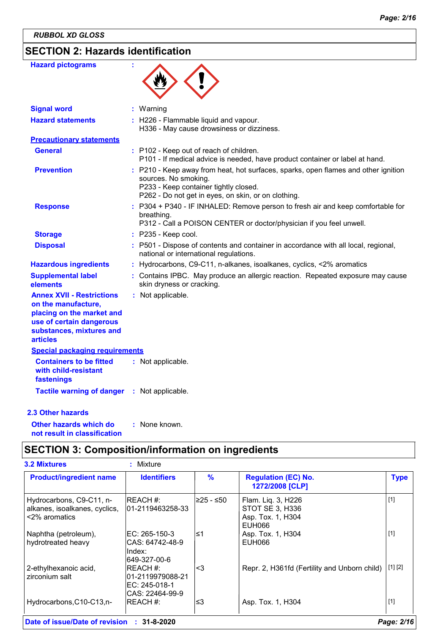# **SECTION 2: Hazards identification**

| <b>Hazard pictograms</b>                                                                                                                                        |                                                                                                                                                                                                            |
|-----------------------------------------------------------------------------------------------------------------------------------------------------------------|------------------------------------------------------------------------------------------------------------------------------------------------------------------------------------------------------------|
| <b>Signal word</b>                                                                                                                                              | Warning                                                                                                                                                                                                    |
| <b>Hazard statements</b>                                                                                                                                        | : H226 - Flammable liquid and vapour.<br>H336 - May cause drowsiness or dizziness.                                                                                                                         |
| <b>Precautionary statements</b>                                                                                                                                 |                                                                                                                                                                                                            |
| <b>General</b>                                                                                                                                                  | : P102 - Keep out of reach of children.<br>P101 - If medical advice is needed, have product container or label at hand.                                                                                    |
| <b>Prevention</b>                                                                                                                                               | : P210 - Keep away from heat, hot surfaces, sparks, open flames and other ignition<br>sources. No smoking.<br>P233 - Keep container tightly closed.<br>P262 - Do not get in eyes, on skin, or on clothing. |
| <b>Response</b>                                                                                                                                                 | : P304 + P340 - IF INHALED: Remove person to fresh air and keep comfortable for<br>breathing.<br>P312 - Call a POISON CENTER or doctor/physician if you feel unwell.                                       |
| <b>Storage</b>                                                                                                                                                  | $:$ P235 - Keep cool.                                                                                                                                                                                      |
| <b>Disposal</b>                                                                                                                                                 | : P501 - Dispose of contents and container in accordance with all local, regional,<br>national or international regulations.                                                                               |
| <b>Hazardous ingredients</b>                                                                                                                                    | Hydrocarbons, C9-C11, n-alkanes, isoalkanes, cyclics, <2% aromatics                                                                                                                                        |
| <b>Supplemental label</b><br>elements                                                                                                                           | : Contains IPBC. May produce an allergic reaction. Repeated exposure may cause<br>skin dryness or cracking.                                                                                                |
| <b>Annex XVII - Restrictions</b><br>on the manufacture,<br>placing on the market and<br>use of certain dangerous<br>substances, mixtures and<br><b>articles</b> | : Not applicable.                                                                                                                                                                                          |
| <b>Special packaging requirements</b>                                                                                                                           |                                                                                                                                                                                                            |
| <b>Containers to be fitted</b><br>with child-resistant<br>fastenings                                                                                            | : Not applicable.                                                                                                                                                                                          |
| <b>Tactile warning of danger</b>                                                                                                                                | : Not applicable.                                                                                                                                                                                          |
| <b>2.3 Other hazards</b>                                                                                                                                        |                                                                                                                                                                                                            |
| Other hazards which do                                                                                                                                          | None known.                                                                                                                                                                                                |

**Other hazards which do : not result in classification**

# **SECTION 3: Composition/information on ingredients**

| <b>Product/ingredient name</b>                                             | <b>Identifiers</b>                                                | $\frac{9}{6}$ | <b>Regulation (EC) No.</b><br>1272/2008 [CLP]                        | <b>Type</b>             |
|----------------------------------------------------------------------------|-------------------------------------------------------------------|---------------|----------------------------------------------------------------------|-------------------------|
| Hydrocarbons, C9-C11, n-<br>alkanes, isoalkanes, cyclics,<br><2% aromatics | <b>IREACH #:</b><br>101-2119463258-33                             | ⊧≥25 - ≤50    | Flam. Liq. 3, H226<br>STOT SE 3, H336<br>Asp. Tox. 1, H304<br>EUH066 | $[1]$                   |
| Naphtha (petroleum),<br>hydrotreated heavy                                 | EC: 265-150-3<br>CAS: 64742-48-9<br>Index:<br>649-327-00-6        | l≤1           | Asp. Tox. 1, H304<br>EUH066                                          | $[1]$                   |
| 2-ethylhexanoic acid,<br>zirconium salt                                    | REACH #:<br>l01-2119979088-21<br>EC: 245-018-1<br>CAS: 22464-99-9 | <3            | Repr. 2, H361fd (Fertility and Unborn child)                         | $\lfloor 1 \rfloor$ [2] |
| Hydrocarbons, C10-C13, n-                                                  | IREACH #:                                                         | ≤3            | Asp. Tox. 1, H304                                                    | $[1]$                   |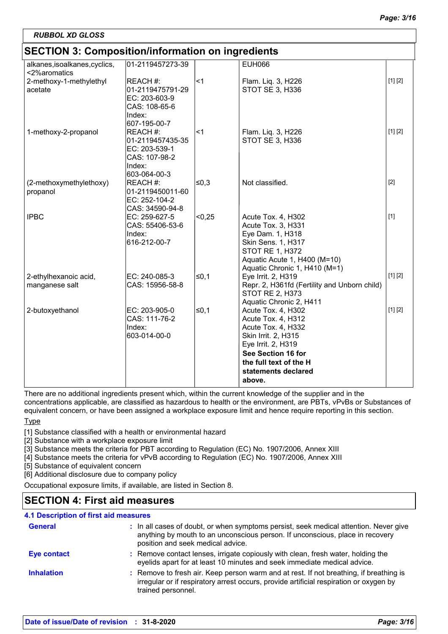# **SECTION 3: Composition/information on ingredients**

| SECTION 3: Composition/Information on Ingredients |                  |        |                                              |         |
|---------------------------------------------------|------------------|--------|----------------------------------------------|---------|
| alkanes, isoalkanes, cyclics,                     | 01-2119457273-39 |        | <b>EUH066</b>                                |         |
| <2%aromatics                                      |                  |        |                                              |         |
| 2-methoxy-1-methylethyl                           | REACH #:         | < 1    | Flam. Liq. 3, H226                           | [1] [2] |
| acetate                                           | 01-2119475791-29 |        | STOT SE 3, H336                              |         |
|                                                   | EC: 203-603-9    |        |                                              |         |
|                                                   | CAS: 108-65-6    |        |                                              |         |
|                                                   | Index:           |        |                                              |         |
|                                                   | 607-195-00-7     |        |                                              |         |
| 1-methoxy-2-propanol                              | REACH #:         | $<$ 1  | Flam. Liq. 3, H226                           | [1] [2] |
|                                                   | 01-2119457435-35 |        | STOT SE 3, H336                              |         |
|                                                   | EC: 203-539-1    |        |                                              |         |
|                                                   | CAS: 107-98-2    |        |                                              |         |
|                                                   | Index:           |        |                                              |         |
|                                                   | 603-064-00-3     |        |                                              |         |
| (2-methoxymethylethoxy)                           | REACH #:         | ≤0,3   | Not classified.                              | $[2]$   |
| propanol                                          | 01-2119450011-60 |        |                                              |         |
|                                                   | EC: 252-104-2    |        |                                              |         |
|                                                   | CAS: 34590-94-8  |        |                                              |         |
| <b>IPBC</b>                                       | EC: 259-627-5    | < 0.25 | Acute Tox. 4, H302                           | $[1]$   |
|                                                   | CAS: 55406-53-6  |        | Acute Tox. 3, H331                           |         |
|                                                   | Index:           |        | Eye Dam. 1, H318                             |         |
|                                                   | 616-212-00-7     |        | Skin Sens. 1, H317                           |         |
|                                                   |                  |        | STOT RE 1, H372                              |         |
|                                                   |                  |        | Aquatic Acute 1, H400 (M=10)                 |         |
|                                                   |                  |        | Aquatic Chronic 1, H410 (M=1)                |         |
| 2-ethylhexanoic acid,                             | EC: 240-085-3    | $≤0,1$ | Eye Irrit. 2, H319                           | [1] [2] |
| manganese salt                                    | CAS: 15956-58-8  |        | Repr. 2, H361fd (Fertility and Unborn child) |         |
|                                                   |                  |        | <b>STOT RE 2, H373</b>                       |         |
|                                                   |                  |        | Aquatic Chronic 2, H411                      |         |
| 2-butoxyethanol                                   | EC: 203-905-0    | $≤0,1$ | Acute Tox. 4, H302                           | [1] [2] |
|                                                   | CAS: 111-76-2    |        | Acute Tox. 4, H312                           |         |
|                                                   | Index:           |        | Acute Tox. 4, H332                           |         |
|                                                   | 603-014-00-0     |        | Skin Irrit. 2, H315                          |         |
|                                                   |                  |        | Eye Irrit. 2, H319                           |         |
|                                                   |                  |        | See Section 16 for                           |         |
|                                                   |                  |        | the full text of the H                       |         |
|                                                   |                  |        | statements declared                          |         |
|                                                   |                  |        | above.                                       |         |

There are no additional ingredients present which, within the current knowledge of the supplier and in the

concentrations applicable, are classified as hazardous to health or the environment, are PBTs, vPvBs or Substances of equivalent concern, or have been assigned a workplace exposure limit and hence require reporting in this section.

**Type** 

[1] Substance classified with a health or environmental hazard

[2] Substance with a workplace exposure limit

[3] Substance meets the criteria for PBT according to Regulation (EC) No. 1907/2006, Annex XIII

[4] Substance meets the criteria for vPvB according to Regulation (EC) No. 1907/2006, Annex XIII

[5] Substance of equivalent concern

[6] Additional disclosure due to company policy

Occupational exposure limits, if available, are listed in Section 8.

# **SECTION 4: First aid measures**

# **4.1 Description of first aid measures**

| <b>General</b>    | : In all cases of doubt, or when symptoms persist, seek medical attention. Never give<br>anything by mouth to an unconscious person. If unconscious, place in recovery<br>position and seek medical advice. |
|-------------------|-------------------------------------------------------------------------------------------------------------------------------------------------------------------------------------------------------------|
| Eye contact       | : Remove contact lenses, irrigate copiously with clean, fresh water, holding the<br>eyelids apart for at least 10 minutes and seek immediate medical advice.                                                |
| <b>Inhalation</b> | : Remove to fresh air. Keep person warm and at rest. If not breathing, if breathing is<br>irregular or if respiratory arrest occurs, provide artificial respiration or oxygen by<br>trained personnel.      |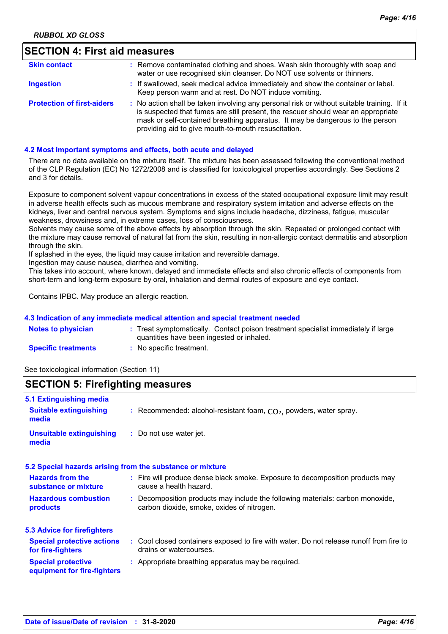# **SECTION 4: First aid measures**

| <b>Skin contact</b>               | : Remove contaminated clothing and shoes. Wash skin thoroughly with soap and<br>water or use recognised skin cleanser. Do NOT use solvents or thinners.                                                                                                                                                                 |
|-----------------------------------|-------------------------------------------------------------------------------------------------------------------------------------------------------------------------------------------------------------------------------------------------------------------------------------------------------------------------|
| <b>Ingestion</b>                  | : If swallowed, seek medical advice immediately and show the container or label.<br>Keep person warm and at rest. Do NOT induce vomiting.                                                                                                                                                                               |
| <b>Protection of first-aiders</b> | : No action shall be taken involving any personal risk or without suitable training. If it<br>is suspected that fumes are still present, the rescuer should wear an appropriate<br>mask or self-contained breathing apparatus. It may be dangerous to the person<br>providing aid to give mouth-to-mouth resuscitation. |

#### **4.2 Most important symptoms and effects, both acute and delayed**

There are no data available on the mixture itself. The mixture has been assessed following the conventional method of the CLP Regulation (EC) No 1272/2008 and is classified for toxicological properties accordingly. See Sections 2 and 3 for details.

Exposure to component solvent vapour concentrations in excess of the stated occupational exposure limit may result in adverse health effects such as mucous membrane and respiratory system irritation and adverse effects on the kidneys, liver and central nervous system. Symptoms and signs include headache, dizziness, fatigue, muscular weakness, drowsiness and, in extreme cases, loss of consciousness.

Solvents may cause some of the above effects by absorption through the skin. Repeated or prolonged contact with the mixture may cause removal of natural fat from the skin, resulting in non-allergic contact dermatitis and absorption through the skin.

If splashed in the eyes, the liquid may cause irritation and reversible damage.

Ingestion may cause nausea, diarrhea and vomiting.

This takes into account, where known, delayed and immediate effects and also chronic effects of components from short-term and long-term exposure by oral, inhalation and dermal routes of exposure and eye contact.

Contains IPBC. May produce an allergic reaction.

#### **4.3 Indication of any immediate medical attention and special treatment needed**

| <b>Notes to physician</b>  | : Treat symptomatically. Contact poison treatment specialist immediately if large<br>quantities have been ingested or inhaled. |
|----------------------------|--------------------------------------------------------------------------------------------------------------------------------|
| <b>Specific treatments</b> | : No specific treatment.                                                                                                       |

See toxicological information (Section 11)

# **SECTION 5: Firefighting measures**

| 5.1 Extinguishing media                                  |                                                                                                                              |
|----------------------------------------------------------|------------------------------------------------------------------------------------------------------------------------------|
| <b>Suitable extinguishing</b><br>media                   | : Recommended: alcohol-resistant foam, $CO2$ , powders, water spray.                                                         |
| <b>Unsuitable extinguishing</b><br>media                 | : Do not use water jet.                                                                                                      |
|                                                          | 5.2 Special hazards arising from the substance or mixture                                                                    |
| <b>Hazards from the</b><br>substance or mixture          | : Fire will produce dense black smoke. Exposure to decomposition products may<br>cause a health hazard.                      |
| <b>Hazardous combustion</b><br>products                  | : Decomposition products may include the following materials: carbon monoxide,<br>carbon dioxide, smoke, oxides of nitrogen. |
| 5.3 Advice for firefighters                              |                                                                                                                              |
| <b>Special protective actions</b><br>for fire-fighters   | : Cool closed containers exposed to fire with water. Do not release runoff from fire to<br>drains or watercourses.           |
| <b>Special protective</b><br>equipment for fire-fighters | : Appropriate breathing apparatus may be required.                                                                           |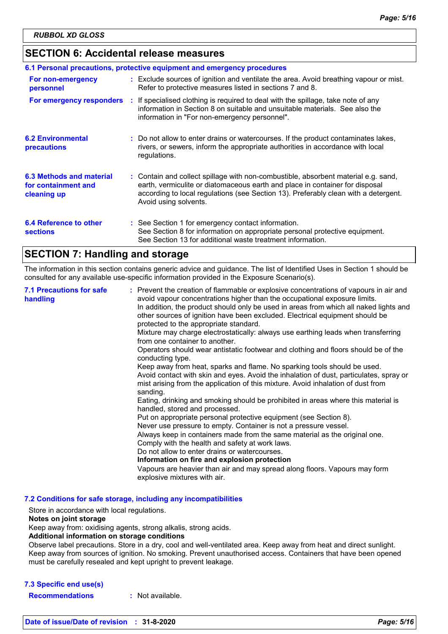# **SECTION 6: Accidental release measures**

|                                                                | 6.1 Personal precautions, protective equipment and emergency procedures                                                                                                                                                                                                            |
|----------------------------------------------------------------|------------------------------------------------------------------------------------------------------------------------------------------------------------------------------------------------------------------------------------------------------------------------------------|
| For non-emergency<br>personnel                                 | : Exclude sources of ignition and ventilate the area. Avoid breathing vapour or mist.<br>Refer to protective measures listed in sections 7 and 8.                                                                                                                                  |
| For emergency responders                                       | : If specialised clothing is required to deal with the spillage, take note of any<br>information in Section 8 on suitable and unsuitable materials. See also the<br>information in "For non-emergency personnel".                                                                  |
| <b>6.2 Environmental</b><br>precautions                        | : Do not allow to enter drains or watercourses. If the product contaminates lakes,<br>rivers, or sewers, inform the appropriate authorities in accordance with local<br>regulations.                                                                                               |
| 6.3 Methods and material<br>for containment and<br>cleaning up | : Contain and collect spillage with non-combustible, absorbent material e.g. sand,<br>earth, vermiculite or diatomaceous earth and place in container for disposal<br>according to local regulations (see Section 13). Preferably clean with a detergent.<br>Avoid using solvents. |
| 6.4 Reference to other<br><b>sections</b>                      | : See Section 1 for emergency contact information.<br>See Section 8 for information on appropriate personal protective equipment.<br>See Section 13 for additional waste treatment information.                                                                                    |

# **SECTION 7: Handling and storage**

The information in this section contains generic advice and guidance. The list of Identified Uses in Section 1 should be consulted for any available use-specific information provided in the Exposure Scenario(s).

| <b>7.1 Precautions for safe</b><br>handling | : Prevent the creation of flammable or explosive concentrations of vapours in air and<br>avoid vapour concentrations higher than the occupational exposure limits.<br>In addition, the product should only be used in areas from which all naked lights and<br>other sources of ignition have been excluded. Electrical equipment should be<br>protected to the appropriate standard.<br>Mixture may charge electrostatically: always use earthing leads when transferring<br>from one container to another.<br>Operators should wear antistatic footwear and clothing and floors should be of the<br>conducting type.<br>Keep away from heat, sparks and flame. No sparking tools should be used.<br>Avoid contact with skin and eyes. Avoid the inhalation of dust, particulates, spray or<br>mist arising from the application of this mixture. Avoid inhalation of dust from<br>sanding.<br>Eating, drinking and smoking should be prohibited in areas where this material is<br>handled, stored and processed.<br>Put on appropriate personal protective equipment (see Section 8).<br>Never use pressure to empty. Container is not a pressure vessel.<br>Always keep in containers made from the same material as the original one.<br>Comply with the health and safety at work laws.<br>Do not allow to enter drains or watercourses.<br>Information on fire and explosion protection<br>Vapours are heavier than air and may spread along floors. Vapours may form<br>explosive mixtures with air. |
|---------------------------------------------|--------------------------------------------------------------------------------------------------------------------------------------------------------------------------------------------------------------------------------------------------------------------------------------------------------------------------------------------------------------------------------------------------------------------------------------------------------------------------------------------------------------------------------------------------------------------------------------------------------------------------------------------------------------------------------------------------------------------------------------------------------------------------------------------------------------------------------------------------------------------------------------------------------------------------------------------------------------------------------------------------------------------------------------------------------------------------------------------------------------------------------------------------------------------------------------------------------------------------------------------------------------------------------------------------------------------------------------------------------------------------------------------------------------------------------------------------------------------------------------------------------------|
|---------------------------------------------|--------------------------------------------------------------------------------------------------------------------------------------------------------------------------------------------------------------------------------------------------------------------------------------------------------------------------------------------------------------------------------------------------------------------------------------------------------------------------------------------------------------------------------------------------------------------------------------------------------------------------------------------------------------------------------------------------------------------------------------------------------------------------------------------------------------------------------------------------------------------------------------------------------------------------------------------------------------------------------------------------------------------------------------------------------------------------------------------------------------------------------------------------------------------------------------------------------------------------------------------------------------------------------------------------------------------------------------------------------------------------------------------------------------------------------------------------------------------------------------------------------------|

**7.2 Conditions for safe storage, including any incompatibilities**

Store in accordance with local regulations.

#### **Notes on joint storage**

Keep away from: oxidising agents, strong alkalis, strong acids.

#### **Additional information on storage conditions**

Observe label precautions. Store in a dry, cool and well-ventilated area. Keep away from heat and direct sunlight. Keep away from sources of ignition. No smoking. Prevent unauthorised access. Containers that have been opened must be carefully resealed and kept upright to prevent leakage.

#### **7.3 Specific end use(s)**

**Recommendations :** Not available.

**Date of issue/Date of revision : 31-8-2020** *Page: 5/16*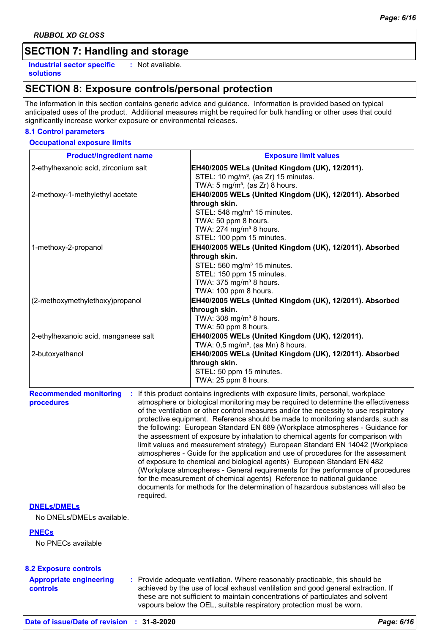# **SECTION 7: Handling and storage**

**Industrial sector specific : solutions**

: Not available.

# **SECTION 8: Exposure controls/personal protection**

The information in this section contains generic advice and guidance. Information is provided based on typical anticipated uses of the product. Additional measures might be required for bulk handling or other uses that could significantly increase worker exposure or environmental releases.

#### **8.1 Control parameters**

#### **Occupational exposure limits**

| <b>Product/ingredient name</b>                                | <b>Exposure limit values</b>                                                                                                                                                                                                                                                                                                                                                                                                                                                                                                                                                                                                                                                                                                                                                                                                                                                                                                                                                                                        |
|---------------------------------------------------------------|---------------------------------------------------------------------------------------------------------------------------------------------------------------------------------------------------------------------------------------------------------------------------------------------------------------------------------------------------------------------------------------------------------------------------------------------------------------------------------------------------------------------------------------------------------------------------------------------------------------------------------------------------------------------------------------------------------------------------------------------------------------------------------------------------------------------------------------------------------------------------------------------------------------------------------------------------------------------------------------------------------------------|
| 2-ethylhexanoic acid, zirconium salt                          | EH40/2005 WELs (United Kingdom (UK), 12/2011).<br>STEL: 10 mg/m <sup>3</sup> , (as Zr) 15 minutes.                                                                                                                                                                                                                                                                                                                                                                                                                                                                                                                                                                                                                                                                                                                                                                                                                                                                                                                  |
| 2-methoxy-1-methylethyl acetate                               | TWA: $5 \text{ mg/m}^3$ , (as Zr) 8 hours.<br>EH40/2005 WELs (United Kingdom (UK), 12/2011). Absorbed                                                                                                                                                                                                                                                                                                                                                                                                                                                                                                                                                                                                                                                                                                                                                                                                                                                                                                               |
|                                                               | through skin.<br>STEL: 548 mg/m <sup>3</sup> 15 minutes.                                                                                                                                                                                                                                                                                                                                                                                                                                                                                                                                                                                                                                                                                                                                                                                                                                                                                                                                                            |
|                                                               | TWA: 50 ppm 8 hours.                                                                                                                                                                                                                                                                                                                                                                                                                                                                                                                                                                                                                                                                                                                                                                                                                                                                                                                                                                                                |
|                                                               | TWA: 274 mg/m <sup>3</sup> 8 hours.                                                                                                                                                                                                                                                                                                                                                                                                                                                                                                                                                                                                                                                                                                                                                                                                                                                                                                                                                                                 |
| 1-methoxy-2-propanol                                          | STEL: 100 ppm 15 minutes.<br>EH40/2005 WELs (United Kingdom (UK), 12/2011). Absorbed                                                                                                                                                                                                                                                                                                                                                                                                                                                                                                                                                                                                                                                                                                                                                                                                                                                                                                                                |
|                                                               | through skin.                                                                                                                                                                                                                                                                                                                                                                                                                                                                                                                                                                                                                                                                                                                                                                                                                                                                                                                                                                                                       |
|                                                               | STEL: 560 mg/m <sup>3</sup> 15 minutes.                                                                                                                                                                                                                                                                                                                                                                                                                                                                                                                                                                                                                                                                                                                                                                                                                                                                                                                                                                             |
|                                                               | STEL: 150 ppm 15 minutes.                                                                                                                                                                                                                                                                                                                                                                                                                                                                                                                                                                                                                                                                                                                                                                                                                                                                                                                                                                                           |
|                                                               | TWA: 375 mg/m <sup>3</sup> 8 hours.                                                                                                                                                                                                                                                                                                                                                                                                                                                                                                                                                                                                                                                                                                                                                                                                                                                                                                                                                                                 |
|                                                               | TWA: 100 ppm 8 hours.                                                                                                                                                                                                                                                                                                                                                                                                                                                                                                                                                                                                                                                                                                                                                                                                                                                                                                                                                                                               |
| (2-methoxymethylethoxy)propanol                               | EH40/2005 WELs (United Kingdom (UK), 12/2011). Absorbed                                                                                                                                                                                                                                                                                                                                                                                                                                                                                                                                                                                                                                                                                                                                                                                                                                                                                                                                                             |
|                                                               | through skin.<br>TWA: 308 mg/m <sup>3</sup> 8 hours.                                                                                                                                                                                                                                                                                                                                                                                                                                                                                                                                                                                                                                                                                                                                                                                                                                                                                                                                                                |
|                                                               | TWA: 50 ppm 8 hours.                                                                                                                                                                                                                                                                                                                                                                                                                                                                                                                                                                                                                                                                                                                                                                                                                                                                                                                                                                                                |
| 2-ethylhexanoic acid, manganese salt                          | EH40/2005 WELs (United Kingdom (UK), 12/2011).                                                                                                                                                                                                                                                                                                                                                                                                                                                                                                                                                                                                                                                                                                                                                                                                                                                                                                                                                                      |
|                                                               | TWA: $0,5$ mg/m <sup>3</sup> , (as Mn) 8 hours.                                                                                                                                                                                                                                                                                                                                                                                                                                                                                                                                                                                                                                                                                                                                                                                                                                                                                                                                                                     |
| 2-butoxyethanol                                               | EH40/2005 WELs (United Kingdom (UK), 12/2011). Absorbed                                                                                                                                                                                                                                                                                                                                                                                                                                                                                                                                                                                                                                                                                                                                                                                                                                                                                                                                                             |
|                                                               | through skin.                                                                                                                                                                                                                                                                                                                                                                                                                                                                                                                                                                                                                                                                                                                                                                                                                                                                                                                                                                                                       |
|                                                               | STEL: 50 ppm 15 minutes.                                                                                                                                                                                                                                                                                                                                                                                                                                                                                                                                                                                                                                                                                                                                                                                                                                                                                                                                                                                            |
|                                                               | TWA: 25 ppm 8 hours.                                                                                                                                                                                                                                                                                                                                                                                                                                                                                                                                                                                                                                                                                                                                                                                                                                                                                                                                                                                                |
| <b>Recommended monitoring</b><br>÷<br>procedures<br>required. | If this product contains ingredients with exposure limits, personal, workplace<br>atmosphere or biological monitoring may be required to determine the effectiveness<br>of the ventilation or other control measures and/or the necessity to use respiratory<br>protective equipment. Reference should be made to monitoring standards, such as<br>the following: European Standard EN 689 (Workplace atmospheres - Guidance for<br>the assessment of exposure by inhalation to chemical agents for comparison with<br>limit values and measurement strategy) European Standard EN 14042 (Workplace<br>atmospheres - Guide for the application and use of procedures for the assessment<br>of exposure to chemical and biological agents) European Standard EN 482<br>(Workplace atmospheres - General requirements for the performance of procedures<br>for the measurement of chemical agents) Reference to national guidance<br>documents for methods for the determination of hazardous substances will also be |
| <b>DNELs/DMELs</b>                                            |                                                                                                                                                                                                                                                                                                                                                                                                                                                                                                                                                                                                                                                                                                                                                                                                                                                                                                                                                                                                                     |
| No DNELs/DMELs available.                                     |                                                                                                                                                                                                                                                                                                                                                                                                                                                                                                                                                                                                                                                                                                                                                                                                                                                                                                                                                                                                                     |

#### **PNECs**

No PNECs available

| <b>8.2 Exposure controls</b> |  |
|------------------------------|--|
|------------------------------|--|

**Appropriate engineering controls**

**:** Provide adequate ventilation. Where reasonably practicable, this should be achieved by the use of local exhaust ventilation and good general extraction. If these are not sufficient to maintain concentrations of particulates and solvent vapours below the OEL, suitable respiratory protection must be worn.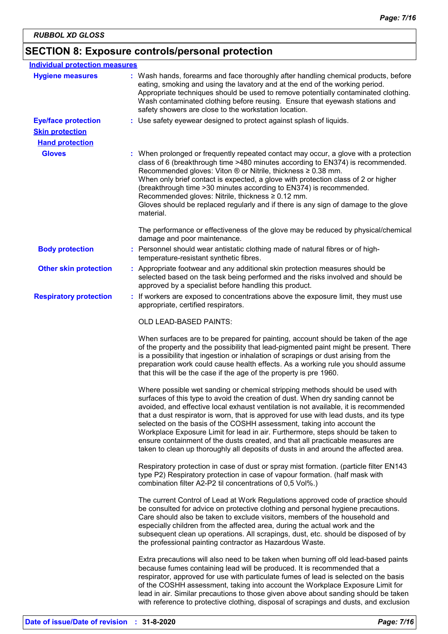# **SECTION 8: Exposure controls/personal protection**

| <b>Individual protection measures</b> |                                                                                                                                                                                                                                                                                                                                                                                                                                                                                                                                                                                                                                                                                         |
|---------------------------------------|-----------------------------------------------------------------------------------------------------------------------------------------------------------------------------------------------------------------------------------------------------------------------------------------------------------------------------------------------------------------------------------------------------------------------------------------------------------------------------------------------------------------------------------------------------------------------------------------------------------------------------------------------------------------------------------------|
| <b>Hygiene measures</b>               | : Wash hands, forearms and face thoroughly after handling chemical products, before<br>eating, smoking and using the lavatory and at the end of the working period.<br>Appropriate techniques should be used to remove potentially contaminated clothing.<br>Wash contaminated clothing before reusing. Ensure that eyewash stations and<br>safety showers are close to the workstation location.                                                                                                                                                                                                                                                                                       |
| <b>Eye/face protection</b>            | : Use safety eyewear designed to protect against splash of liquids.                                                                                                                                                                                                                                                                                                                                                                                                                                                                                                                                                                                                                     |
| <b>Skin protection</b>                |                                                                                                                                                                                                                                                                                                                                                                                                                                                                                                                                                                                                                                                                                         |
| <b>Hand protection</b>                |                                                                                                                                                                                                                                                                                                                                                                                                                                                                                                                                                                                                                                                                                         |
| <b>Gloves</b>                         | : When prolonged or frequently repeated contact may occur, a glove with a protection<br>class of 6 (breakthrough time >480 minutes according to EN374) is recommended.<br>Recommended gloves: Viton ® or Nitrile, thickness ≥ 0.38 mm.<br>When only brief contact is expected, a glove with protection class of 2 or higher<br>(breakthrough time > 30 minutes according to EN374) is recommended.<br>Recommended gloves: Nitrile, thickness ≥ 0.12 mm.<br>Gloves should be replaced regularly and if there is any sign of damage to the glove<br>material.                                                                                                                             |
|                                       | The performance or effectiveness of the glove may be reduced by physical/chemical<br>damage and poor maintenance.                                                                                                                                                                                                                                                                                                                                                                                                                                                                                                                                                                       |
| <b>Body protection</b>                | : Personnel should wear antistatic clothing made of natural fibres or of high-<br>temperature-resistant synthetic fibres.                                                                                                                                                                                                                                                                                                                                                                                                                                                                                                                                                               |
| <b>Other skin protection</b>          | : Appropriate footwear and any additional skin protection measures should be<br>selected based on the task being performed and the risks involved and should be<br>approved by a specialist before handling this product.                                                                                                                                                                                                                                                                                                                                                                                                                                                               |
| <b>Respiratory protection</b>         | : If workers are exposed to concentrations above the exposure limit, they must use<br>appropriate, certified respirators.                                                                                                                                                                                                                                                                                                                                                                                                                                                                                                                                                               |
|                                       | OLD LEAD-BASED PAINTS:                                                                                                                                                                                                                                                                                                                                                                                                                                                                                                                                                                                                                                                                  |
|                                       | When surfaces are to be prepared for painting, account should be taken of the age<br>of the property and the possibility that lead-pigmented paint might be present. There<br>is a possibility that ingestion or inhalation of scrapings or dust arising from the<br>preparation work could cause health effects. As a working rule you should assume<br>that this will be the case if the age of the property is pre 1960.                                                                                                                                                                                                                                                             |
|                                       | Where possible wet sanding or chemical stripping methods should be used with<br>surfaces of this type to avoid the creation of dust. When dry sanding cannot be<br>avoided, and effective local exhaust ventilation is not available, it is recommended<br>that a dust respirator is worn, that is approved for use with lead dusts, and its type<br>selected on the basis of the COSHH assessment, taking into account the<br>Workplace Exposure Limit for lead in air. Furthermore, steps should be taken to<br>ensure containment of the dusts created, and that all practicable measures are<br>taken to clean up thoroughly all deposits of dusts in and around the affected area. |
|                                       | Respiratory protection in case of dust or spray mist formation. (particle filter EN143<br>type P2) Respiratory protection in case of vapour formation. (half mask with<br>combination filter A2-P2 til concentrations of 0,5 Vol%.)                                                                                                                                                                                                                                                                                                                                                                                                                                                     |
|                                       | The current Control of Lead at Work Regulations approved code of practice should<br>be consulted for advice on protective clothing and personal hygiene precautions.<br>Care should also be taken to exclude visitors, members of the household and<br>especially children from the affected area, during the actual work and the<br>subsequent clean up operations. All scrapings, dust, etc. should be disposed of by<br>the professional painting contractor as Hazardous Waste.                                                                                                                                                                                                     |
|                                       | Extra precautions will also need to be taken when burning off old lead-based paints<br>because fumes containing lead will be produced. It is recommended that a<br>respirator, approved for use with particulate fumes of lead is selected on the basis<br>of the COSHH assessment, taking into account the Workplace Exposure Limit for<br>lead in air. Similar precautions to those given above about sanding should be taken<br>with reference to protective clothing, disposal of scrapings and dusts, and exclusion                                                                                                                                                                |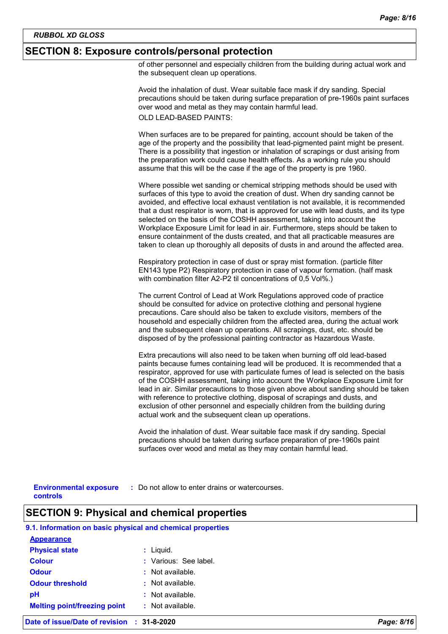#### **SECTION 8: Exposure controls/personal protection**

of other personnel and especially children from the building during actual work and the subsequent clean up operations.

Avoid the inhalation of dust. Wear suitable face mask if dry sanding. Special precautions should be taken during surface preparation of pre-1960s paint surfaces over wood and metal as they may contain harmful lead. OLD LEAD-BASED PAINTS:

When surfaces are to be prepared for painting, account should be taken of the age of the property and the possibility that lead-pigmented paint might be present. There is a possibility that ingestion or inhalation of scrapings or dust arising from the preparation work could cause health effects. As a working rule you should assume that this will be the case if the age of the property is pre 1960.

Where possible wet sanding or chemical stripping methods should be used with surfaces of this type to avoid the creation of dust. When dry sanding cannot be avoided, and effective local exhaust ventilation is not available, it is recommended that a dust respirator is worn, that is approved for use with lead dusts, and its type selected on the basis of the COSHH assessment, taking into account the Workplace Exposure Limit for lead in air. Furthermore, steps should be taken to ensure containment of the dusts created, and that all practicable measures are taken to clean up thoroughly all deposits of dusts in and around the affected area.

Respiratory protection in case of dust or spray mist formation. (particle filter EN143 type P2) Respiratory protection in case of vapour formation. (half mask with combination filter A2-P2 til concentrations of 0,5 Vol%.)

The current Control of Lead at Work Regulations approved code of practice should be consulted for advice on protective clothing and personal hygiene precautions. Care should also be taken to exclude visitors, members of the household and especially children from the affected area, during the actual work and the subsequent clean up operations. All scrapings, dust, etc. should be disposed of by the professional painting contractor as Hazardous Waste.

Extra precautions will also need to be taken when burning off old lead-based paints because fumes containing lead will be produced. It is recommended that a respirator, approved for use with particulate fumes of lead is selected on the basis of the COSHH assessment, taking into account the Workplace Exposure Limit for lead in air. Similar precautions to those given above about sanding should be taken with reference to protective clothing, disposal of scrapings and dusts, and exclusion of other personnel and especially children from the building during actual work and the subsequent clean up operations.

Avoid the inhalation of dust. Wear suitable face mask if dry sanding. Special precautions should be taken during surface preparation of pre-1960s paint surfaces over wood and metal as they may contain harmful lead.

**controls**

**Environmental exposure : Do not allow to enter drains or watercourses.** 

# **SECTION 9: Physical and chemical properties**

#### **9.1. Information on basic physical and chemical properties**

| <b>Appearance</b>                   |                       |
|-------------------------------------|-----------------------|
| <b>Physical state</b>               | $:$ Liquid.           |
| <b>Colour</b>                       | : Various: See label. |
| <b>Odour</b>                        | $:$ Not available.    |
| <b>Odour threshold</b>              | : Not available.      |
| рH                                  | $:$ Not available.    |
| <b>Melting point/freezing point</b> | : Not available.      |
|                                     |                       |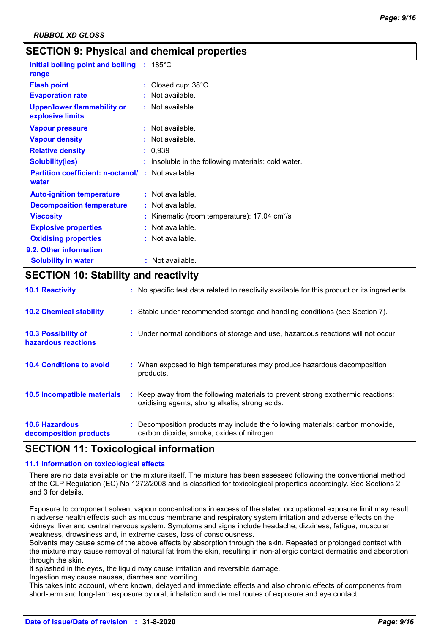# **SECTION 9: Physical and chemical properties**

| Initial boiling point and boiling<br>range                        | $: 185^{\circ}$ C                                          |
|-------------------------------------------------------------------|------------------------------------------------------------|
| <b>Flash point</b>                                                | : Closed cup: $38^{\circ}$ C                               |
| <b>Evaporation rate</b>                                           | Not available.                                             |
| <b>Upper/lower flammability or</b><br>explosive limits            | : Not available.                                           |
| <b>Vapour pressure</b>                                            | : Not available.                                           |
| <b>Vapour density</b>                                             | Not available.                                             |
| <b>Relative density</b>                                           | : 0.939                                                    |
| <b>Solubility(ies)</b>                                            | : Insoluble in the following materials: cold water.        |
| <b>Partition coefficient: n-octanol/: Not available.</b><br>water |                                                            |
| <b>Auto-ignition temperature</b>                                  | : Not available.                                           |
| <b>Decomposition temperature</b>                                  | : Not available.                                           |
| <b>Viscosity</b>                                                  | : Kinematic (room temperature): $17,04$ cm <sup>2</sup> /s |
| <b>Explosive properties</b>                                       | Not available.                                             |
| <b>Oxidising properties</b>                                       | $:$ Not available.                                         |
| 9.2. Other information                                            |                                                            |
| <b>Solubility in water</b>                                        | : Not available.                                           |

# **SECTION 10: Stability and reactivity**

| <b>10.1 Reactivity</b>                            | : No specific test data related to reactivity available for this product or its ingredients.                                        |
|---------------------------------------------------|-------------------------------------------------------------------------------------------------------------------------------------|
| <b>10.2 Chemical stability</b>                    | : Stable under recommended storage and handling conditions (see Section 7).                                                         |
| <b>10.3 Possibility of</b><br>hazardous reactions | : Under normal conditions of storage and use, hazardous reactions will not occur.                                                   |
| <b>10.4 Conditions to avoid</b>                   | : When exposed to high temperatures may produce hazardous decomposition<br>products.                                                |
| <b>10.5 Incompatible materials</b>                | : Keep away from the following materials to prevent strong exothermic reactions:<br>oxidising agents, strong alkalis, strong acids. |
| <b>10.6 Hazardous</b><br>decomposition products   | : Decomposition products may include the following materials: carbon monoxide,<br>carbon dioxide, smoke, oxides of nitrogen.        |

# **SECTION 11: Toxicological information**

#### **11.1 Information on toxicological effects**

There are no data available on the mixture itself. The mixture has been assessed following the conventional method of the CLP Regulation (EC) No 1272/2008 and is classified for toxicological properties accordingly. See Sections 2 and 3 for details.

Exposure to component solvent vapour concentrations in excess of the stated occupational exposure limit may result in adverse health effects such as mucous membrane and respiratory system irritation and adverse effects on the kidneys, liver and central nervous system. Symptoms and signs include headache, dizziness, fatigue, muscular weakness, drowsiness and, in extreme cases, loss of consciousness.

Solvents may cause some of the above effects by absorption through the skin. Repeated or prolonged contact with the mixture may cause removal of natural fat from the skin, resulting in non-allergic contact dermatitis and absorption through the skin.

If splashed in the eyes, the liquid may cause irritation and reversible damage.

Ingestion may cause nausea, diarrhea and vomiting.

This takes into account, where known, delayed and immediate effects and also chronic effects of components from short-term and long-term exposure by oral, inhalation and dermal routes of exposure and eye contact.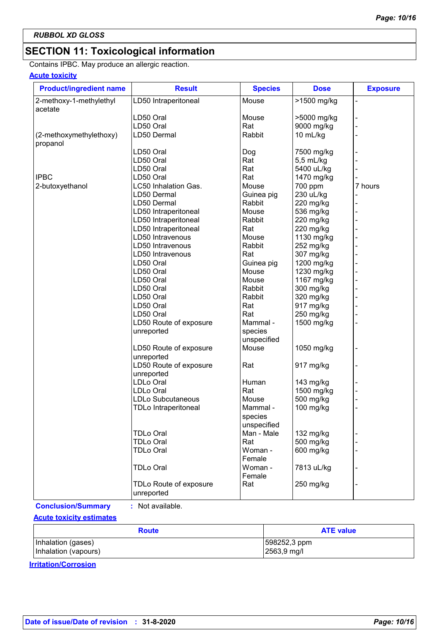# **SECTION 11: Toxicological information**

Contains IPBC. May produce an allergic reaction.

# **Acute toxicity**

| <b>Product/ingredient name</b>     | <b>Result</b>                        | <b>Species</b>       | <b>Dose</b> | <b>Exposure</b> |
|------------------------------------|--------------------------------------|----------------------|-------------|-----------------|
| 2-methoxy-1-methylethyl<br>acetate | LD50 Intraperitoneal                 | Mouse                | >1500 mg/kg |                 |
|                                    | LD50 Oral                            | Mouse                | >5000 mg/kg |                 |
|                                    | LD50 Oral                            | Rat                  | 9000 mg/kg  |                 |
| (2-methoxymethylethoxy)            | LD50 Dermal                          | Rabbit               | 10 mL/kg    |                 |
| propanol                           |                                      |                      |             |                 |
|                                    | LD50 Oral                            | Dog                  | 7500 mg/kg  |                 |
|                                    | LD50 Oral                            | Rat                  | 5,5 mL/kg   |                 |
|                                    | LD50 Oral                            | Rat                  | 5400 uL/kg  |                 |
| <b>IPBC</b>                        | LD50 Oral                            | Rat                  | 1470 mg/kg  |                 |
| 2-butoxyethanol                    | LC50 Inhalation Gas.                 | Mouse                | 700 ppm     | 7 hours         |
|                                    | LD50 Dermal                          |                      | 230 uL/kg   |                 |
|                                    | LD50 Dermal                          | Guinea pig<br>Rabbit | 220 mg/kg   |                 |
|                                    |                                      |                      |             |                 |
|                                    | LD50 Intraperitoneal                 | Mouse                | 536 mg/kg   |                 |
|                                    | LD50 Intraperitoneal                 | Rabbit               | 220 mg/kg   |                 |
|                                    | LD50 Intraperitoneal                 | Rat                  | 220 mg/kg   |                 |
|                                    | LD50 Intravenous                     | Mouse                | 1130 mg/kg  |                 |
|                                    | LD50 Intravenous                     | Rabbit               | 252 mg/kg   |                 |
|                                    | LD50 Intravenous                     | Rat                  | 307 mg/kg   |                 |
|                                    | LD50 Oral                            | Guinea pig           | 1200 mg/kg  |                 |
|                                    | LD50 Oral                            | Mouse                | 1230 mg/kg  |                 |
|                                    | LD50 Oral                            | Mouse                | 1167 mg/kg  |                 |
|                                    | LD50 Oral                            | Rabbit               | 300 mg/kg   |                 |
|                                    | LD50 Oral                            | Rabbit               | 320 mg/kg   |                 |
|                                    | LD50 Oral                            | Rat                  | 917 mg/kg   |                 |
|                                    | LD50 Oral                            | Rat                  | 250 mg/kg   |                 |
|                                    | LD50 Route of exposure               | Mammal -             | 1500 mg/kg  |                 |
|                                    | unreported                           | species              |             |                 |
|                                    |                                      | unspecified          |             |                 |
|                                    | LD50 Route of exposure<br>unreported | Mouse                | 1050 mg/kg  |                 |
|                                    | LD50 Route of exposure               | Rat                  | 917 mg/kg   |                 |
|                                    | unreported                           |                      |             |                 |
|                                    | LDLo Oral                            | Human                | 143 mg/kg   |                 |
|                                    | LDLo Oral                            | Rat                  | 1500 mg/kg  |                 |
|                                    | LDLo Subcutaneous                    | Mouse                | 500 mg/kg   |                 |
|                                    | <b>TDLo Intraperitoneal</b>          | Mammal -             | 100 mg/kg   |                 |
|                                    |                                      | species              |             |                 |
|                                    |                                      | unspecified          |             |                 |
|                                    | <b>TDLo Oral</b>                     | Man - Male           | 132 mg/kg   |                 |
|                                    | <b>TDLo Oral</b>                     | Rat                  | 500 mg/kg   |                 |
|                                    | <b>TDLo Oral</b>                     | Woman -              | 600 mg/kg   |                 |
|                                    |                                      | Female               |             |                 |
|                                    | <b>TDLo Oral</b>                     | Woman -              | 7813 uL/kg  |                 |
|                                    |                                      | Female               |             |                 |
|                                    | TDLo Route of exposure               | Rat                  | 250 mg/kg   |                 |
|                                    | unreported                           |                      |             |                 |
|                                    |                                      |                      |             |                 |

**Conclusion/Summary :** Not available.

**Acute toxicity estimates**

| <b>Route</b>         | <b>ATE value</b> |  |
|----------------------|------------------|--|
| Inhalation (gases)   | 598252,3 ppm     |  |
| Inhalation (vapours) | 2563,9 mg/l      |  |

**Irritation/Corrosion**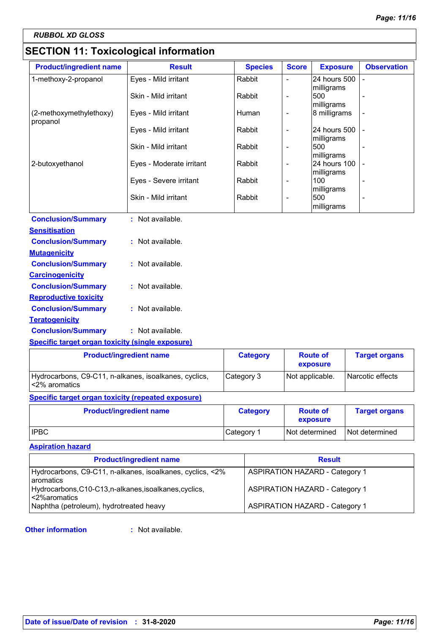# **SECTION 11: Toxicological information**

| <b>Product/ingredient name</b>                          | <b>Result</b>            | <b>Species</b> | <b>Score</b>             | <b>Exposure</b>                 | <b>Observation</b> |
|---------------------------------------------------------|--------------------------|----------------|--------------------------|---------------------------------|--------------------|
| 1-methoxy-2-propanol                                    | Eyes - Mild irritant     | Rabbit         | L,                       | 24 hours 500                    |                    |
|                                                         | Skin - Mild irritant     | Rabbit         | L,                       | milligrams<br>500<br>milligrams |                    |
| (2-methoxymethylethoxy)<br>propanol                     | Eyes - Mild irritant     | Human          | $\overline{\phantom{0}}$ | 8 milligrams                    |                    |
|                                                         | Eyes - Mild irritant     | Rabbit         | $\overline{\phantom{a}}$ | 24 hours 500<br>milligrams      |                    |
|                                                         | Skin - Mild irritant     | Rabbit         | $\overline{\phantom{a}}$ | 500<br>milligrams               |                    |
| 2-butoxyethanol                                         | Eyes - Moderate irritant | Rabbit         | $\overline{\phantom{a}}$ | 24 hours 100<br>milligrams      |                    |
|                                                         | Eyes - Severe irritant   | Rabbit         | $\overline{a}$           | 100<br>milligrams               |                    |
|                                                         | Skin - Mild irritant     | Rabbit         | $\overline{a}$           | 500<br>milligrams               |                    |
| <b>Conclusion/Summary</b>                               | : Not available.         |                |                          |                                 |                    |
| <b>Sensitisation</b>                                    |                          |                |                          |                                 |                    |
| <b>Conclusion/Summary</b>                               | : Not available.         |                |                          |                                 |                    |
| <b>Mutagenicity</b>                                     |                          |                |                          |                                 |                    |
| <b>Conclusion/Summary</b>                               | : Not available.         |                |                          |                                 |                    |
| <b>Carcinogenicity</b>                                  |                          |                |                          |                                 |                    |
| <b>Conclusion/Summary</b>                               | : Not available.         |                |                          |                                 |                    |
| <b>Reproductive toxicity</b>                            |                          |                |                          |                                 |                    |
| <b>Conclusion/Summary</b>                               | : Not available.         |                |                          |                                 |                    |
| <b>Teratogenicity</b>                                   |                          |                |                          |                                 |                    |
| <b>Conclusion/Summary</b>                               | : Not available.         |                |                          |                                 |                    |
| <b>Specific target organ toxicity (single exposure)</b> |                          |                |                          |                                 |                    |
|                                                         |                          |                |                          |                                 |                    |

| <b>Product/ingredient name</b>                                           | <b>Category</b> | <b>Route of</b><br>exposure | <b>Target organs</b> |
|--------------------------------------------------------------------------|-----------------|-----------------------------|----------------------|
| Hydrocarbons, C9-C11, n-alkanes, isoalkanes, cyclics,<br>l <2% aromatics | Category 3      | Not applicable.             | Narcotic effects     |

# **Specific target organ toxicity (repeated exposure)**

| <b>Product/ingredient name</b> | <b>Category</b> | <b>Route of</b><br>exposure | <b>Target organs</b> |
|--------------------------------|-----------------|-----------------------------|----------------------|
| <b>IPBC</b>                    | Category 1      | Not determined              | Not determined       |

### **Aspiration hazard**

| <b>Product/ingredient name</b>                                           | <b>Result</b>                         |
|--------------------------------------------------------------------------|---------------------------------------|
| Hydrocarbons, C9-C11, n-alkanes, isoalkanes, cyclics, <2%<br>l aromatics | <b>ASPIRATION HAZARD - Category 1</b> |
| Hydrocarbons, C10-C13, n-alkanes, isoalkanes, cyclics,<br><2%aromatics   | <b>ASPIRATION HAZARD - Category 1</b> |
| Naphtha (petroleum), hydrotreated heavy                                  | <b>ASPIRATION HAZARD - Category 1</b> |

#### **Other information :**

: Not available.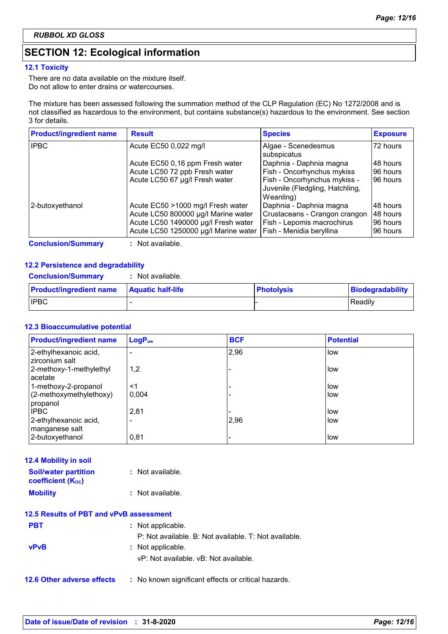# **SECTION 12: Ecological information**

#### **12.1 Toxicity**

There are no data available on the mixture itself. Do not allow to enter drains or watercourses.

The mixture has been assessed following the summation method of the CLP Regulation (EC) No 1272/2008 and is not classified as hazardous to the environment, but contains substance(s) hazardous to the environment. See section 3 for details.

| <b>Product/ingredient name</b> | <b>Result</b>                                                               | <b>Species</b>                                                               | <b>Exposure</b>       |
|--------------------------------|-----------------------------------------------------------------------------|------------------------------------------------------------------------------|-----------------------|
| <b>IPBC</b>                    | Acute EC50 0,022 mg/l                                                       | Algae - Scenedesmus<br>subspicatus                                           | l 72 hours            |
|                                | Acute EC50 0,16 ppm Fresh water                                             | Daphnia - Daphnia magna                                                      | I48 hours             |
|                                | Acute LC50 72 ppb Fresh water                                               | Fish - Oncorhynchus mykiss                                                   | 96 hours              |
|                                | Acute LC50 67 µg/l Fresh water                                              | Fish - Oncorhynchus mykiss -<br>Juvenile (Fledgling, Hatchling,<br>Weanling) | 96 hours              |
| 2-butoxyethanol                | Acute EC50 >1000 mg/l Fresh water                                           | Daphnia - Daphnia magna                                                      | I48 hours             |
|                                | Acute LC50 800000 µg/l Marine water                                         | Crustaceans - Crangon crangon                                                | 48 hours              |
|                                | Acute LC50 1490000 µg/l Fresh water<br>Acute LC50 1250000 µg/l Marine water | Fish - Lepomis macrochirus<br>Fish - Menidia beryllina                       | 96 hours<br>196 hours |

**Conclusion/Summary :** Not available.

#### **12.2 Persistence and degradability**

| <b>Conclusion/Summary</b> | : Not available. |
|---------------------------|------------------|
|---------------------------|------------------|

| <b>Product/ingredient name</b> | <b>Aquatic half-life</b> | <b>Photolysis</b> | <b>Biodegradability</b> |
|--------------------------------|--------------------------|-------------------|-------------------------|
| <b>IPBC</b>                    |                          |                   | Readily                 |

#### **12.3 Bioaccumulative potential**

| <b>Product/ingredient name</b>          | LogP <sub>ow</sub> | <b>BCF</b> | <b>Potential</b> |
|-----------------------------------------|--------------------|------------|------------------|
| 2-ethylhexanoic acid,<br>zirconium salt |                    | 2,96       | low              |
| 2-methoxy-1-methylethyl<br>acetate      | 1,2                |            | low              |
| 1-methoxy-2-propanol                    | <1                 |            | low              |
| (2-methoxymethylethoxy)<br>propanol     | 0.004              |            | low              |
| <b>IPBC</b>                             | 2,81               |            | low              |
| 2-ethylhexanoic acid,<br>manganese salt | ۰                  | 2,96       | low              |
| 2-butoxyethanol                         | 0,81               |            | low              |

| 12.4 Mobility in soil |  |  |  |  |
|-----------------------|--|--|--|--|
|-----------------------|--|--|--|--|

| <b>Soil/water partition</b><br><b>coefficient (Koc)</b> | : Not available. |
|---------------------------------------------------------|------------------|
| <b>Mobility</b>                                         | : Not available. |

|             | 12.5 Results of PBT and vPvB assessment               |
|-------------|-------------------------------------------------------|
| <b>PBT</b>  | : Not applicable.                                     |
|             | P: Not available. B: Not available. T: Not available. |
| <b>vPvB</b> | : Not applicable.                                     |
|             | vP: Not available. vB: Not available.                 |
|             |                                                       |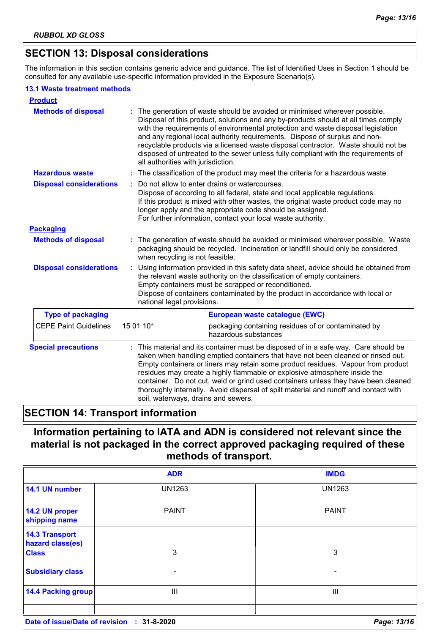# **SECTION 13: Disposal considerations**

The information in this section contains generic advice and guidance. The list of Identified Uses in Section 1 should be consulted for any available use-specific information provided in the Exposure Scenario(s).

#### **13.1 Waste treatment methods**

| <b>Product</b>                 |                                                                                                                                                                                                                                                                                                                                                                                                                                                                                                                                                             |  |  |
|--------------------------------|-------------------------------------------------------------------------------------------------------------------------------------------------------------------------------------------------------------------------------------------------------------------------------------------------------------------------------------------------------------------------------------------------------------------------------------------------------------------------------------------------------------------------------------------------------------|--|--|
| <b>Methods of disposal</b>     | : The generation of waste should be avoided or minimised wherever possible.<br>Disposal of this product, solutions and any by-products should at all times comply<br>with the requirements of environmental protection and waste disposal legislation<br>and any regional local authority requirements. Dispose of surplus and non-<br>recyclable products via a licensed waste disposal contractor. Waste should not be<br>disposed of untreated to the sewer unless fully compliant with the requirements of<br>all authorities with jurisdiction.        |  |  |
| <b>Hazardous waste</b>         | The classification of the product may meet the criteria for a hazardous waste.                                                                                                                                                                                                                                                                                                                                                                                                                                                                              |  |  |
| <b>Disposal considerations</b> | Do not allow to enter drains or watercourses.<br>Dispose of according to all federal, state and local applicable regulations.<br>If this product is mixed with other wastes, the original waste product code may no<br>longer apply and the appropriate code should be assigned.<br>For further information, contact your local waste authority.                                                                                                                                                                                                            |  |  |
| <b>Packaging</b>               |                                                                                                                                                                                                                                                                                                                                                                                                                                                                                                                                                             |  |  |
| <b>Methods of disposal</b>     | : The generation of waste should be avoided or minimised wherever possible. Waste<br>packaging should be recycled. Incineration or landfill should only be considered<br>when recycling is not feasible.                                                                                                                                                                                                                                                                                                                                                    |  |  |
| <b>Disposal considerations</b> | Using information provided in this safety data sheet, advice should be obtained from<br>the relevant waste authority on the classification of empty containers.<br>Empty containers must be scrapped or reconditioned.<br>Dispose of containers contaminated by the product in accordance with local or<br>national legal provisions.                                                                                                                                                                                                                       |  |  |
| <b>Type of packaging</b>       | European waste catalogue (EWC)                                                                                                                                                                                                                                                                                                                                                                                                                                                                                                                              |  |  |
| <b>CEPE Paint Guidelines</b>   | 15 01 10*<br>packaging containing residues of or contaminated by<br>hazardous substances                                                                                                                                                                                                                                                                                                                                                                                                                                                                    |  |  |
| <b>Special precautions</b>     | This material and its container must be disposed of in a safe way. Care should be<br>taken when handling emptied containers that have not been cleaned or rinsed out.<br>Empty containers or liners may retain some product residues. Vapour from product<br>residues may create a highly flammable or explosive atmosphere inside the<br>container. Do not cut, weld or grind used containers unless they have been cleaned<br>thoroughly internally. Avoid dispersal of spilt material and runoff and contact with<br>soil, waterways, drains and sewers. |  |  |

# **SECTION 14: Transport information**

# **Information pertaining to IATA and ADN is considered not relevant since the material is not packaged in the correct approved packaging required of these methods of transport.**

|                                            | <b>ADR</b>    | <b>IMDG</b>              |
|--------------------------------------------|---------------|--------------------------|
| 14.1 UN number                             | <b>UN1263</b> | <b>UN1263</b>            |
| 14.2 UN proper<br>shipping name            | <b>PAINT</b>  | <b>PAINT</b>             |
| <b>14.3 Transport</b><br>hazard class(es)  |               |                          |
| <b>Class</b>                               | 3             | 3                        |
| <b>Subsidiary class</b>                    | ۰             | $\overline{\phantom{0}}$ |
| <b>14.4 Packing group</b>                  | Ш             | Ш                        |
| Date of issue/Date of revision : 31-8-2020 |               | Page: 13/16              |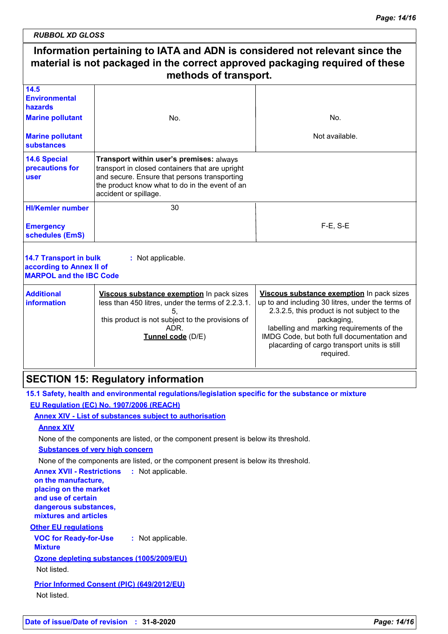*RUBBOL XD GLOSS*

#### **Information pertaining to IATA and ADN is considered not relevant since the material is not packaged in the correct approved packaging required of these methods of transport.** 30 F-E, S-E **HI/Kemler number 14.5 Environmental hazards 14.6 Special precautions for user 14.7 Transport in bulk according to Annex II of MARPOL and the IBC Code :** Not applicable. **Emergency schedules (EmS) Marine pollutant Marine pollutant substances** No. Not available. **Additional information Viscous substance exemption** In pack sizes less than 450 litres, under the terms of 2.2.3.1. 5, this product is not subject to the provisions of ADR. **Tunnel code** (D/E) **Viscous substance exemption** In pack sizes up to and including 30 litres, under the terms of 2.3.2.5, this product is not subject to the packaging, labelling and marking requirements of the IMDG Code, but both full documentation and placarding of cargo transport units is still required. No. **Transport within user's premises:** always transport in closed containers that are upright and secure. Ensure that persons transporting the product know what to do in the event of an accident or spillage.

# **SECTION 15: Regulatory information**

**15.1 Safety, health and environmental regulations/legislation specific for the substance or mixture EU Regulation (EC) No. 1907/2006 (REACH)**

**Annex XIV - List of substances subject to authorisation**

# **Annex XIV**

None of the components are listed, or the component present is below its threshold.

**Substances of very high concern**

None of the components are listed, or the component present is below its threshold.

**VOC for Ready-for-Use Mixture :** Not applicable. **Other EU regulations Annex XVII - Restrictions :** Not applicable. **on the manufacture, placing on the market and use of certain dangerous substances, mixtures and articles Ozone depleting substances (1005/2009/EU)** Not listed. **Prior Informed Consent (PIC) (649/2012/EU)** Not listed.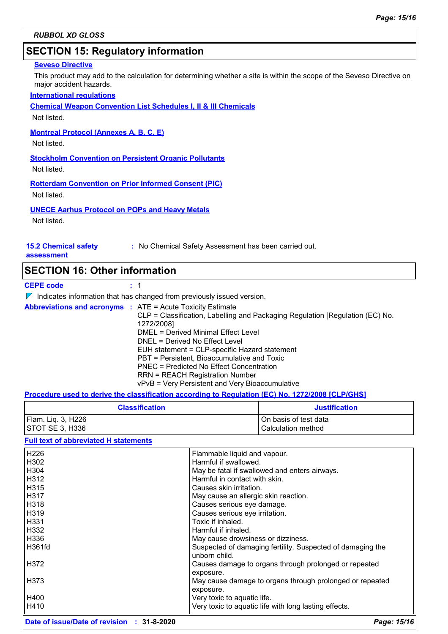# **SECTION 15: Regulatory information**

#### **Seveso Directive**

This product may add to the calculation for determining whether a site is within the scope of the Seveso Directive on major accident hazards.

#### **International regulations**

**Chemical Weapon Convention List Schedules I, II & III Chemicals**

Not listed.

#### **Montreal Protocol (Annexes A, B, C, E)**

Not listed.

**Stockholm Convention on Persistent Organic Pollutants**

Not listed.

**Rotterdam Convention on Prior Informed Consent (PIC)**

Not listed.

#### **UNECE Aarhus Protocol on POPs and Heavy Metals**

Not listed.

### **15.2 Chemical safety**

**:** No Chemical Safety Assessment has been carried out.

**assessment**

# **SECTION 16: Other information**

**CEPE code :** 1

 $\nabla$  Indicates information that has changed from previously issued version.

|  | <b>Abbreviations and acronyms : ATE = Acute Toxicity Estimate</b><br>CLP = Classification, Labelling and Packaging Regulation [Regulation (EC) No.<br>1272/2008]<br>DMEL = Derived Minimal Effect Level<br>DNEL = Derived No Effect Level<br>EUH statement = CLP-specific Hazard statement<br>PBT = Persistent, Bioaccumulative and Toxic<br>PNEC = Predicted No Effect Concentration<br><b>RRN = REACH Registration Number</b> |
|--|---------------------------------------------------------------------------------------------------------------------------------------------------------------------------------------------------------------------------------------------------------------------------------------------------------------------------------------------------------------------------------------------------------------------------------|
|  | vPvB = Very Persistent and Very Bioaccumulative                                                                                                                                                                                                                                                                                                                                                                                 |

#### **Procedure used to derive the classification according to Regulation (EC) No. 1272/2008 [CLP/GHS]**

| <b>Classification</b> | <b>Justification</b>    |
|-----------------------|-------------------------|
| Flam. Liq. 3, H226    | l On basis of test data |
| STOT SE 3, H336       | l Calculation method    |

#### **Full text of abbreviated H statements**

| H226             | Flammable liquid and vapour.                                                |
|------------------|-----------------------------------------------------------------------------|
| H302             | Harmful if swallowed.                                                       |
| H304             | May be fatal if swallowed and enters airways.                               |
| H312             | Harmful in contact with skin.                                               |
| H315             | Causes skin irritation.                                                     |
| l H317           | May cause an allergic skin reaction.                                        |
| H318             | Causes serious eye damage.                                                  |
| H319             | Causes serious eye irritation.                                              |
| H <sub>331</sub> | Toxic if inhaled.                                                           |
| H332             | Harmful if inhaled.                                                         |
| H336             | May cause drowsiness or dizziness.                                          |
| H361fd           | Suspected of damaging fertility. Suspected of damaging the<br>unborn child. |
| H372             | Causes damage to organs through prolonged or repeated<br>exposure.          |
| H373             | May cause damage to organs through prolonged or repeated<br>exposure.       |
| H400             | Very toxic to aquatic life.                                                 |
| H410             | Very toxic to aquatic life with long lasting effects.                       |